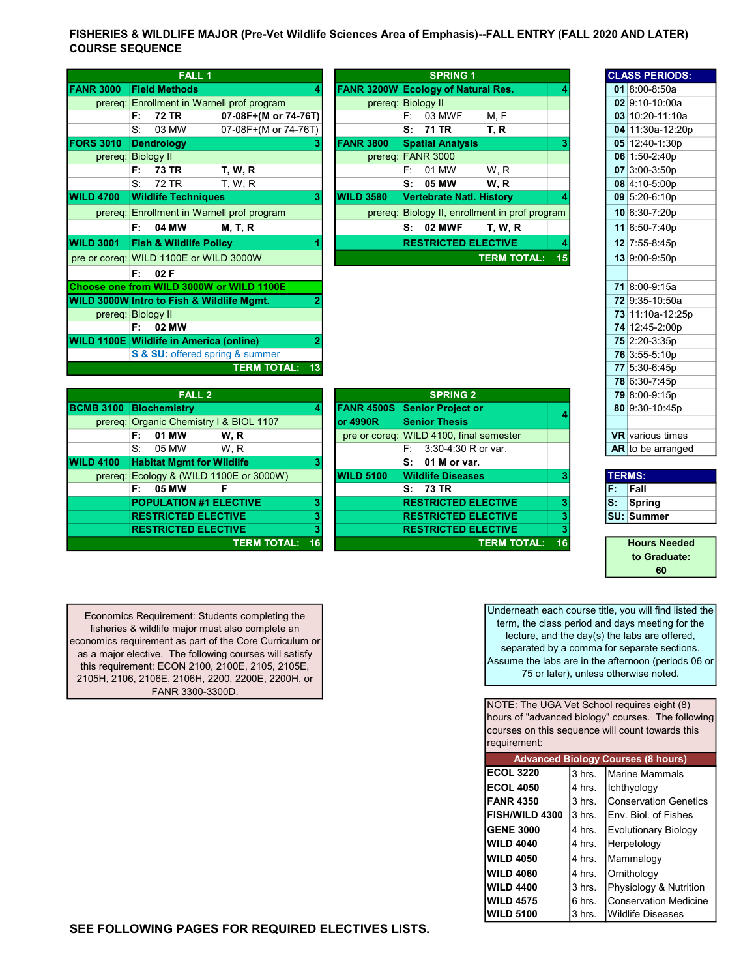FISHERIES & WILDLIFE MAJOR (Pre-Vet Wildlife Sciences Area of Emphasis)--FALL ENTRY (FALL 2020 AND LATER) COURSE SEQUENCE

|                  | <b>FALL1</b>                                         |                                            |   |                                           |      | <b>SPRING 1</b>                 |                                        |    | <b>CLASS PERIODS:</b> |
|------------------|------------------------------------------------------|--------------------------------------------|---|-------------------------------------------|------|---------------------------------|----------------------------------------|----|-----------------------|
| <b>FANR 3000</b> | <b>Field Methods</b>                                 |                                            | 4 | <b>FANR 3200W Ecology of Natural Res.</b> |      |                                 |                                        |    | 01 8:00-8:50a         |
|                  |                                                      | prereq: Enrollment in Warnell prof program |   | prereq: Biology II                        |      |                                 |                                        |    | 02 9:10-10:00a        |
|                  | <b>72 TR</b><br>F:                                   | 07-08F+(M or 74-76T)                       |   |                                           | F: I | 03 MWF                          | M, F                                   |    | 03 10:20-11:10a       |
|                  | S:<br>03 MW                                          | 07-08F+(M or 74-76T)                       |   |                                           | S:   | 71 TR                           | T, R                                   |    | 04 11:30a-12:20p      |
| <b>FORS 3010</b> | <b>Dendrology</b>                                    |                                            | 3 | <b>FANR 3800</b>                          |      | <b>Spatial Analysis</b>         |                                        |    | 05 12:40-1:30p        |
|                  | prereq: Biology II                                   |                                            |   | prereq: FANR 3000                         |      |                                 |                                        |    | 06 1:50-2:40p         |
|                  | <b>73 TR</b><br>F:                                   | <b>T. W. R.</b>                            |   |                                           | F:   | 01 MW                           | W, R                                   |    | 07 3:00-3:50p         |
|                  | S:<br>72 TR                                          | <b>T, W, R</b>                             |   |                                           | S:   | 05 MW                           | W, R                                   |    | 08 4:10-5:00p         |
| <b>WILD 4700</b> | <b>Wildlife Techniques</b>                           |                                            | 3 | <b>WILD 3580</b>                          |      | <b>Vertebrate Natl. History</b> |                                        |    | 09 5:20-6:10p         |
|                  |                                                      | prereq: Enrollment in Warnell prof program |   | prereq:                                   |      |                                 | Biology II, enrollment in prof program |    | 10 6:30-7:20p         |
|                  | F:<br>04 MW                                          | <b>M, T, R</b>                             |   |                                           | s:   | 02 MWF                          | <b>T, W, R</b>                         |    | 11 6:50-7:40p         |
| <b>WILD 3001</b> | <b>Fish &amp; Wildlife Policy</b>                    |                                            |   |                                           |      | <b>RESTRICTED ELECTIVE</b>      |                                        |    | 12 7:55-8:45p         |
|                  | pre or coreq: WILD 1100E or WILD 3000W               |                                            |   |                                           |      |                                 | <b>TERM TOTAL:</b>                     | 15 | 13 9:00-9:50p         |
|                  | 02F<br>F:                                            |                                            |   |                                           |      |                                 |                                        |    |                       |
|                  |                                                      | Choose one from WILD 3000W or WILD 1100E   |   |                                           |      |                                 |                                        |    | 71 8:00-9:15a         |
|                  | <b>WILD 3000W Intro to Fish &amp; Wildlife Mgmt.</b> |                                            |   |                                           |      |                                 |                                        |    | 72 9:35-10:50a        |
|                  | prereq: Biology II                                   |                                            |   |                                           |      |                                 |                                        |    | 73 11:10a-12:25p      |
|                  | 02 MW<br>F:                                          |                                            |   |                                           |      |                                 |                                        |    | 74 12:45-2:00p        |
|                  | <b>WILD 1100E Wildlife in America (online)</b>       |                                            |   |                                           |      |                                 |                                        |    | 75 2:20-3:35p         |
|                  |                                                      | S & SU: offered spring & summer            |   |                                           |      |                                 |                                        |    | 76 3:55-5:10p         |
|                  |                                                      | <b>TERM TOTAL: 13</b>                      |   |                                           |      |                                 |                                        |    | 77 5:30-6:45p         |
|                  |                                                      |                                            |   |                                           |      |                                 |                                        |    | 78 6:30-7:45p         |
|                  | <b>EALL 9</b>                                        |                                            |   |                                           |      | <b>CODING</b> 2                 |                                        |    | 7000000456            |

| <b>FALL 2</b>    |                                         |                       |   |                   |                                         | 79 8:00-9:15p |     |                        |
|------------------|-----------------------------------------|-----------------------|---|-------------------|-----------------------------------------|---------------|-----|------------------------|
| <b>BCMB 3100</b> | <b>Biochemistry</b>                     |                       | 4 | <b>FANR 4500S</b> | <b>Senior Project or</b>                |               |     | 80 9:30-10:45p         |
|                  | prereq: Organic Chemistry I & BIOL 1107 |                       |   | lor 4990R         | <b>Senior Thesis</b>                    |               |     |                        |
|                  | 01 MW<br>F:                             | W. R                  |   |                   | pre or coreq: WILD 4100, final semester |               |     | <b>VR</b> various time |
|                  | S.<br>05 MW                             | W.R                   |   |                   | $F: 3:30-4:30 R$ or var.                |               |     | <b>AR</b> to be arrang |
| <b>WILD 4100</b> | <b>Habitat Mgmt for Wildlife</b>        |                       |   |                   | $S: 01$ M or var.                       |               |     |                        |
| prereq:          | Ecology & (WILD 1100E or 3000W)         |                       |   | <b>WILD 5100</b>  | <b>Wildlife Diseases</b>                |               |     | <b>TERMS:</b>          |
|                  | F: I<br>05 MW                           |                       |   |                   | S: 73 TR                                |               | Е.  | Fall                   |
|                  | <b>POPULATION #1 ELECTIVE</b>           |                       | 3 |                   | <b>RESTRICTED ELECTIVE</b>              |               | ls: | Spring                 |
|                  | <b>RESTRICTED ELECTIVE</b>              |                       | 3 |                   | <b>RESTRICTED ELECTIVE</b>              |               |     | <b>SU: Summer</b>      |
|                  | <b>RESTRICTED ELECTIVE</b>              |                       |   |                   | <b>RESTRICTED ELECTIVE</b>              |               |     |                        |
|                  |                                         | <b>TERM TOTAL: 16</b> |   |                   | <b>TERM TOTAL:</b>                      | 16            |     | <b>Hours Need</b>      |

|         | <b>TERM TOTAL: 13</b>                   |    |                  |                                         |    |    | 77 5:30-6:45p           |
|---------|-----------------------------------------|----|------------------|-----------------------------------------|----|----|-------------------------|
|         |                                         |    |                  |                                         |    |    | 78 6:30-7:45p           |
|         | <b>FALL 2</b>                           |    |                  | <b>SPRING 2</b>                         |    |    | 79 8:00-9:15p           |
| 3100    | Biochemistry                            |    |                  | FANR 4500S Senior Project or            |    |    | 80 9:30-10:45p          |
|         | prereg: Organic Chemistry I & BIOL 1107 |    | lor 4990R        | <b>Senior Thesis</b>                    |    |    |                         |
|         | W.R<br>01 MW<br>F: .                    |    |                  | pre or coreg: WILD 4100, final semester |    |    | <b>VR</b> various times |
|         | 05 MW<br>W.R<br>S.                      |    |                  | 3:30-4:30 R or var.<br>F: I             |    |    | AR to be arranged       |
| 4100    | <b>Habitat Mgmt for Wildlife</b>        | 3  |                  | $S: 01$ M or var.                       |    |    |                         |
| prereq: | Ecology & (WILD 1100E or 3000W)         |    | <b>WILD 5100</b> | <b>Wildlife Diseases</b>                | 3  |    | <b>TERMS:</b>           |
|         | 05 MW<br>F: I<br>F                      |    |                  | S: 73 TR                                |    | F. | Fall                    |
|         | <b>POPULATION #1 ELECTIVE</b>           | 3  |                  | <b>RESTRICTED ELECTIVE</b>              | 3  | S: | Spring                  |
|         | <b>RESTRICTED ELECTIVE</b>              | 3  |                  | <b>RESTRICTED ELECTIVE</b>              | 3  |    | <b>ISU: Summer</b>      |
|         | <b>RESTRICTED ELECTIVE</b>              |    |                  | <b>RESTRICTED ELECTIVE</b>              | 3  |    |                         |
|         | <b>TERM TOTAL:</b>                      | 16 |                  | <b>TERM TOTAL:</b>                      | 16 |    | <b>Hours Needed</b>     |
|         |                                         |    |                  |                                         |    |    |                         |

| $01 8:00-8:50a$<br>02 9:10-10:00a<br>03 10:20-11:10a<br>04 11:30a-12:20p |
|--------------------------------------------------------------------------|
|                                                                          |
|                                                                          |
|                                                                          |
|                                                                          |
| 05 12:40-1:30p                                                           |
| 06 1:50-2:40p                                                            |
| 07 3:00-3:50p                                                            |
| 08 4:10-5:00p                                                            |
| 09 5:20-6:10p                                                            |
| 10 6:30-7:20p                                                            |
| 11 6:50-7:40p                                                            |
| 12 7:55-8:45p                                                            |
| 13 9:00-9:50p                                                            |
|                                                                          |
| 71 8:00-9:15a                                                            |
| 72 9:35-10:50a                                                           |
| 73 11:10a-12:25p                                                         |
| 74 12:45-2:00p                                                           |
| 75 2:20-3:35p                                                            |
| 76 3:55-5:10p                                                            |
| 77 5:30-6:45p                                                            |
| 78 6:30-7:45p                                                            |
| 79 8:00-9:15p                                                            |
| 80 9:30-10:45p                                                           |
|                                                                          |
| <b>VR</b> various times                                                  |
| AR to be arranged                                                        |

| <b>TERMS:</b> |                   |  |  |  |
|---------------|-------------------|--|--|--|
|               | Fall              |  |  |  |
|               | Spring            |  |  |  |
|               | <b>SU: Summer</b> |  |  |  |

to Graduate: 60 Hours Needed

Economics Requirement: Students completing the fisheries & wildlife major must also complete an economics requirement as part of the Core Curriculum or as a major elective. The following courses will satisfy this requirement: ECON 2100, 2100E, 2105, 2105E, 2105H, 2106, 2106E, 2106H, 2200, 2200E, 2200H, or FANR 3300-3300D.

Underneath each course title, you will find listed the term, the class period and days meeting for the lecture, and the day(s) the labs are offered, separated by a comma for separate sections. Assume the labs are in the afternoon (periods 06 or 75 or later), unless otherwise noted.

NOTE: The UGA Vet School requires eight (8) hours of "advanced biology" courses. The following courses on this sequence will count towards this requirement:

|                        | <b>Advanced Biology Courses (8 hours)</b> |                              |  |  |  |  |
|------------------------|-------------------------------------------|------------------------------|--|--|--|--|
| <b>IECOL 3220</b>      | 3 hrs.                                    | <b>Marine Mammals</b>        |  |  |  |  |
| <b>ECOL 4050</b>       | 4 hrs.                                    | <b>Ichthyology</b>           |  |  |  |  |
| <b>IFANR 4350</b>      | $3$ hrs.                                  | <b>Conservation Genetics</b> |  |  |  |  |
| <b>IFISH/WILD 4300</b> | l3 hrs.                                   | <b>IEnv. Biol. of Fishes</b> |  |  |  |  |
| <b>IGENE 3000</b>      | 4 hrs.                                    | Evolutionary Biology         |  |  |  |  |
| lWILD 4040             | 4 hrs.                                    | Herpetology                  |  |  |  |  |
| <b>IWILD 4050</b>      | l4 hrs.                                   | <b>Mammalogy</b>             |  |  |  |  |
| <b>IWILD 4060</b>      | 4 hrs.                                    | Ornithology                  |  |  |  |  |
| lWILD 4400             | 3 hrs.                                    | Physiology & Nutrition       |  |  |  |  |
| WILD 4575              | 6 hrs.                                    | <b>Conservation Medicine</b> |  |  |  |  |
| lWILD 5100             | 3 hrs.                                    | <b>Wildlife Diseases</b>     |  |  |  |  |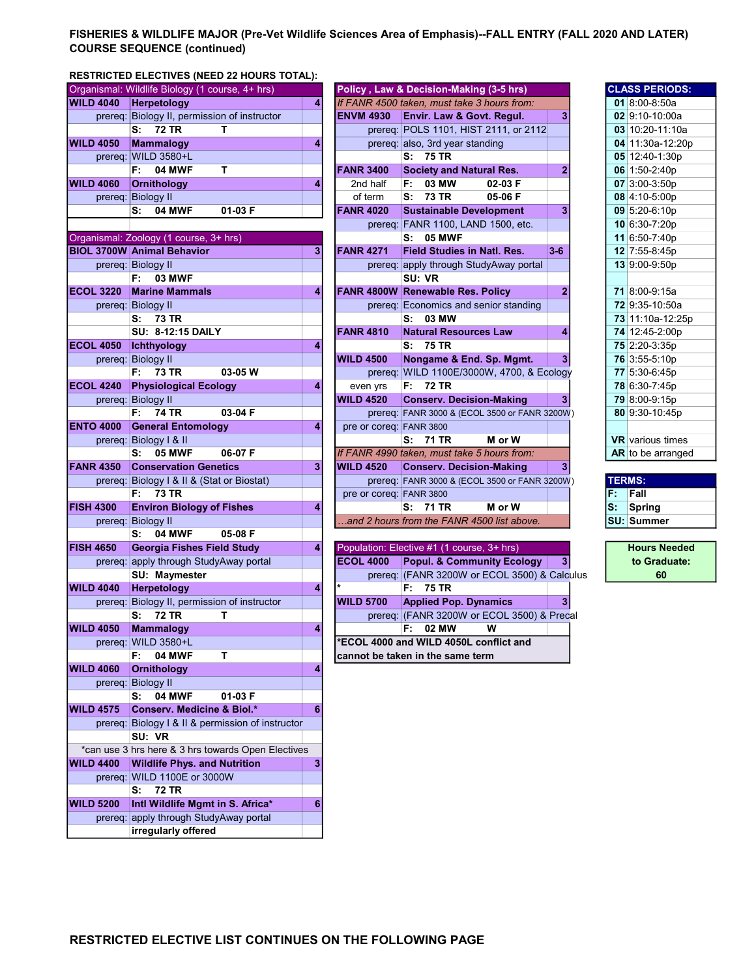# FISHERIES & WILDLIFE MAJOR (Pre-Vet Wildlife Sciences Area of Emphasis)--FALL ENTRY (FALL 2020 AND LATER) COURSE SEQUENCE (continued)

# RESTRICTED ELECTIVES (NEED 22 HOURS TOTAL):

|                  | Organismal: Wildlife Biology (1 course, 4+ hrs)    |   |                         | Policy, Law & Decision-Making (3-5 hrs)       |                |    | <b>CLASS PERIODS:</b>   |
|------------------|----------------------------------------------------|---|-------------------------|-----------------------------------------------|----------------|----|-------------------------|
| <b>WILD 4040</b> | Herpetology                                        | 4 |                         | If FANR 4500 taken, must take 3 hours from:   |                |    | 01 8:00-8:50a           |
|                  | prereq: Biology II, permission of instructor       |   | <b>ENVM 4930</b>        | Envir. Law & Govt. Regul.                     | 3              |    | 02 9:10-10:00a          |
|                  | <b>72 TR</b><br>s:<br>т                            |   |                         | prereq: POLS 1101, HIST 2111, or 2112         |                |    | 03 10:20-11:10a         |
| <b>WILD 4050</b> | Mammalogy                                          | 4 |                         | prereq: also, 3rd year standing               |                |    | 04 11:30a-12:20p        |
|                  | prereq: WILD 3580+L                                |   |                         | S: 75 TR                                      |                |    | 05 12:40-1:30p          |
|                  | т<br>F:<br><b>04 MWF</b>                           |   | <b>FANR 3400</b>        | <b>Society and Natural Res.</b>               | 2              |    | 06 1:50-2:40p           |
| <b>WILD 4060</b> | Ornithology                                        | 4 | 2nd half                | F: 03 MW<br>02-03 F                           |                |    | 07 3:00-3:50p           |
|                  | prereq: Biology II                                 |   | of term                 | s:<br><b>73 TR</b><br>05-06 F                 |                |    | 08 4:10-5:00p           |
|                  | 04 MWF<br>01-03 F<br>s.                            |   | <b>FANR 4020</b>        | <b>Sustainable Development</b>                | 3              |    | 09 5:20-6:10p           |
|                  |                                                    |   |                         | prereq: FANR 1100, LAND 1500, etc.            |                |    | 10 6:30-7:20p           |
|                  | Organismal: Zoology (1 course, 3+ hrs)             |   |                         | <b>05 MWF</b><br>s:                           |                |    | 11 6:50-7:40p           |
|                  | <b>BIOL 3700W Animal Behavior</b>                  | 3 | <b>FANR 4271</b>        | <b>Field Studies in Natl. Res.</b>            | $3 - 6$        |    | 12 7:55-8:45p           |
|                  | prereq: Biology II                                 |   |                         | prereq: apply through StudyAway portal        |                |    | 13 9:00-9:50p           |
|                  | <b>03 MWF</b><br>F: I                              |   |                         | SU: VR                                        |                |    |                         |
| <b>ECOL 3220</b> | <b>Marine Mammals</b>                              | 4 |                         | FANR 4800W Renewable Res. Policy              | $\overline{2}$ |    | 71 8:00-9:15a           |
|                  | prereq: Biology II                                 |   |                         | prereq: Economics and senior standing         |                |    | 72 9:35-10:50a          |
|                  | S: 73 TR                                           |   |                         | S: 03 MW                                      |                |    | 73 11:10a-12:25p        |
|                  | <b>SU: 8-12:15 DAILY</b>                           |   | <b>FANR 4810</b>        | <b>Natural Resources Law</b>                  | 4              |    | 74 12:45-2:00p          |
| <b>ECOL 4050</b> | Ichthyology                                        | 4 |                         | S: 75 TR                                      |                |    | 75 2:20-3:35p           |
|                  | prereq: Biology II                                 |   | <b>WILD 4500</b>        | Nongame & End. Sp. Mgmt.                      | 3              |    | 76 3:55-5:10p           |
|                  | F: 73 TR<br>03-05 W                                |   |                         | prereq: WILD 1100E/3000W, 4700, & Ecology     |                |    | 77 5:30-6:45p           |
| <b>ECOL 4240</b> | <b>Physiological Ecology</b>                       | 4 | even yrs                | F: 72 TR                                      |                |    | 78 6:30-7:45p           |
|                  | prereq: Biology II                                 |   | <b>WILD 4520</b>        | <b>Conserv. Decision-Making</b>               | 3              |    | 79 8:00-9:15p           |
|                  | 03-04 F<br>74 TR<br>F:                             |   |                         | prereq: FANR 3000 & (ECOL 3500 or FANR 3200W) |                |    | 80 9:30-10:45p          |
| <b>ENTO 4000</b> | <b>General Entomology</b>                          | 4 | pre or coreq: FANR 3800 |                                               |                |    |                         |
|                  | prereq: Biology I & II                             |   |                         | S: 71 TR<br>M or W                            |                |    | <b>VR</b> various times |
|                  | <b>05 MWF</b><br>s:<br>06-07 F                     |   |                         | If FANR 4990 taken, must take 5 hours from:   |                |    | AR to be arranged       |
| <b>FANR 4350</b> | <b>Conservation Genetics</b>                       | 3 | <b>WILD 4520</b>        | <b>Conserv. Decision-Making</b>               | 3              |    |                         |
|                  | prereq: Biology I & II & (Stat or Biostat)         |   |                         | prereq: FANR 3000 & (ECOL 3500 or FANR 3200W) |                |    | <b>TERMS:</b>           |
|                  |                                                    |   |                         |                                               |                |    | Fall                    |
|                  | <b>73 TR</b><br>F:                                 |   | pre or coreq: FANR 3800 |                                               |                | F. |                         |
| <b>FISH 4300</b> | <b>Environ Biology of Fishes</b>                   | 4 |                         | S: 71 TR<br>M or W                            |                | S: | <b>Spring</b>           |
|                  | prereq: Biology II                                 |   |                         | .and 2 hours from the FANR 4500 list above.   |                |    | <b>SU: Summer</b>       |
|                  | <b>04 MWF</b><br>s:<br>05-08 F                     |   |                         |                                               |                |    |                         |
| <b>FISH 4650</b> | <b>Georgia Fishes Field Study</b>                  | 4 |                         | Population: Elective #1 (1 course, 3+ hrs)    |                |    | <b>Hours Needed</b>     |
|                  | prereq: apply through StudyAway portal             |   | <b>ECOL 4000</b>        | <b>Popul. &amp; Community Ecology</b>         | 3              |    | to Graduate:            |
|                  | SU: Maymester                                      |   |                         | prereq: (FANR 3200W or ECOL 3500) & Calculus  |                |    | 60                      |
| <b>WILD 4040</b> | Herpetology                                        | 4 |                         | F:<br>75 TR                                   |                |    |                         |
|                  | prereq: Biology II, permission of instructor       |   | <b>WILD 5700</b>        | <b>Applied Pop. Dynamics</b>                  | 3              |    |                         |
|                  | S: 72 TR<br>т                                      |   |                         | prereq: (FANR 3200W or ECOL 3500) & Precal    |                |    |                         |
| <b>WILD 4050</b> | <b>Mammalogy</b>                                   | 4 |                         | w<br>F: 02 MW                                 |                |    |                         |
|                  | prereq: WILD 3580+L                                |   |                         | *ECOL 4000 and WILD 4050L conflict and        |                |    |                         |
|                  | <b>04 MWF</b><br>т<br>F:                           |   |                         | cannot be taken in the same term              |                |    |                         |
| <b>WILD 4060</b> | <b>Ornithology</b>                                 | 4 |                         |                                               |                |    |                         |
|                  | prereq: Biology II                                 |   |                         |                                               |                |    |                         |
|                  | <b>04 MWF</b><br>S:<br>01-03 F                     |   |                         |                                               |                |    |                         |
| <b>WILD 4575</b> | <b>Conserv. Medicine &amp; Biol.*</b>              | 6 |                         |                                               |                |    |                         |
|                  | prereq: Biology I & II & permission of instructor  |   |                         |                                               |                |    |                         |
|                  | SU: VR                                             |   |                         |                                               |                |    |                         |
|                  | *can use 3 hrs here & 3 hrs towards Open Electives |   |                         |                                               |                |    |                         |
| <b>WILD 4400</b> | <b>Wildlife Phys. and Nutrition</b>                |   |                         |                                               |                |    |                         |
|                  | prereq: WILD 1100E or 3000W                        |   |                         |                                               |                |    |                         |
|                  | 72 TR<br>s:                                        |   |                         |                                               |                |    |                         |
| <b>WILD 5200</b> | Intl Wildlife Mgmt in S. Africa*                   | 6 |                         |                                               |                |    |                         |
|                  | prereq: apply through StudyAway portal             |   |                         |                                               |                |    |                         |

|                  | Organismal: Wildlife Biology (1 course, 4+ hrs) |   |                         | Policy, Law & Decision-Making (3-5 hrs)       |                |               | <b>CLASS PERIODS:</b>   |
|------------------|-------------------------------------------------|---|-------------------------|-----------------------------------------------|----------------|---------------|-------------------------|
| <b>WILD 4040</b> | Herpetology                                     | 4 |                         | If FANR 4500 taken, must take 3 hours from:   |                |               | 01 8:00-8:50a           |
|                  | prereq: Biology II, permission of instructor    |   | <b>ENVM 4930</b>        | Envir. Law & Govt. Regul.                     | 3 <sup>1</sup> |               | 02 9:10-10:00a          |
|                  | <b>72 TR</b><br>S:<br>т                         |   |                         | prereq: POLS 1101, HIST 2111, or 2112         |                |               | 03 10:20-11:10a         |
| <b>WILD 4050</b> | Mammalogy                                       | 4 |                         | prereq: also, 3rd year standing               |                |               | 04 11:30a-12:20p        |
|                  | prereq: WILD 3580+L                             |   |                         | S: 75 TR                                      |                |               | 05 12:40-1:30p          |
|                  | т<br>F:<br><b>04 MWF</b>                        |   | <b>FANR 3400</b>        | <b>Society and Natural Res.</b>               | $\overline{2}$ |               | 06 1:50-2:40p           |
| <b>WILD 4060</b> | Ornithology                                     | 4 | 2nd half                | 03 MW<br>F: I<br>02-03 F                      |                |               | 07 3:00-3:50p           |
|                  | prereq: Biology II                              |   | of term                 | S: 73 TR<br>05-06 F                           |                |               | 08 4:10-5:00p           |
|                  | <b>04 MWF</b><br>01-03 F<br>S:                  |   | <b>FANR 4020</b>        | <b>Sustainable Development</b>                | 3              |               | 09 5:20-6:10p           |
|                  |                                                 |   |                         | prereq: FANR 1100, LAND 1500, etc.            |                |               | 10 6:30-7:20p           |
|                  | Organismal: Zoology (1 course, 3+ hrs)          |   |                         | $S: 05$ MWF                                   |                |               | 11 6:50-7:40p           |
|                  | <b>BIOL 3700W Animal Behavior</b>               | 3 | <b>FANR 4271</b>        | <b>Field Studies in Natl. Res.</b>            | $3 - 6$        |               | 12 7:55-8:45p           |
|                  | prereq: Biology II                              |   |                         | prereq: apply through StudyAway portal        |                |               | 13 9:00-9:50p           |
|                  | 03 MWF<br>F: I                                  |   |                         | SU: VR                                        |                |               |                         |
| <b>ECOL 3220</b> | <b>Marine Mammals</b>                           | 4 |                         | <b>FANR 4800W Renewable Res. Policy</b>       | $\mathbf{2}$   |               | 71 8:00-9:15a           |
|                  | prereq: Biology II                              |   |                         | prereg: Economics and senior standing         |                |               | 72 9:35-10:50a          |
|                  | S: 73 TR                                        |   |                         | S: 03 MW                                      |                |               | 73 11:10a-12:25p        |
|                  | <b>SU: 8-12:15 DAILY</b>                        |   | <b>FANR 4810</b>        | <b>Natural Resources Law</b>                  | 4              |               | 74 12:45-2:00p          |
| <b>ECOL 4050</b> | <b>Ichthyology</b>                              | 4 |                         | S: 75 TR                                      |                |               | 75 2:20-3:35p           |
|                  | prereq: Biology II                              |   | <b>WILD 4500</b>        | Nongame & End. Sp. Mgmt.                      | 3 <sup>1</sup> |               | 76 3:55-5:10p           |
|                  | 03-05 W<br>F: 73 TR                             |   |                         | prereq: WILD 1100E/3000W, 4700, & Ecology     |                |               | 77 5:30-6:45p           |
| <b>ECOL 4240</b> | <b>Physiological Ecology</b>                    | 4 | even yrs                | F: 72 TR                                      |                |               | 78 6:30-7:45p           |
|                  | prereq: Biology II                              |   | <b>WILD 4520</b>        | <b>Conserv. Decision-Making</b>               | 3 <sup>1</sup> |               | 79 8:00-9:15p           |
|                  | 03-04 F<br>F: I<br>74 TR                        |   |                         | prereq: FANR 3000 & (ECOL 3500 or FANR 3200W) |                |               | 80 9:30-10:45p          |
| <b>ENTO 4000</b> | <b>General Entomology</b>                       | 4 | pre or coreq: FANR 3800 |                                               |                |               |                         |
|                  | prereq: Biology I & II                          |   |                         | S: 71 TR<br>M or W                            |                |               | <b>VR</b> various times |
|                  | 06-07 F<br>$\mathbf{S}$ :<br><b>05 MWF</b>      |   |                         | If FANR 4990 taken, must take 5 hours from:   |                |               | AR to be arranged       |
| <b>FANR 4350</b> | <b>Conservation Genetics</b>                    | 3 | <b>WILD 4520</b>        | <b>Conserv. Decision-Making</b>               | 3 <sup>1</sup> |               |                         |
|                  | prereq: Biology I & II & (Stat or Biostat)      |   |                         | prereq: FANR 3000 & (ECOL 3500 or FANR 3200W) |                | <b>TERMS:</b> |                         |
|                  | <b>73 TR</b><br>F:                              |   | pre or coreq: FANR 3800 |                                               |                | F.            | Fall                    |
| <b>FISH 4300</b> | <b>Environ Biology of Fishes</b>                | 4 |                         | S: 71 TR<br>M or W                            |                | S.            | Spring                  |
|                  | prereq: Biology II                              |   |                         | and 2 hours from the FANR 4500 list above.    |                |               | <b>SU: Summer</b>       |
|                  | 04 MWF<br>05-08 F<br>s.                         |   |                         |                                               |                |               |                         |
| <b>FISH 4650</b> | <b>Georgia Fishes Field Study</b>               | 4 |                         | Population: Elective #1 (1 course, 3+ hrs)    |                |               | <b>Hours Needed</b>     |
|                  | prereq: apply through StudyAway portal          |   | <b>ECOL 4000</b>        | <b>Popul. &amp; Community Ecology</b>         | 3 <sup>1</sup> |               | to Graduate:            |
|                  | SU: Maymester                                   |   |                         | prereq: (FANR 3200W or ECOL 3500) & Calculus  |                |               | 60                      |

| <b>LASS PERIODS:</b>     |
|--------------------------|
| 01 8:00-8:50a            |
| 02 9:10-10:00a           |
| 03 10:20-11:10a          |
| 04 11:30a-12:20p         |
| 05 12:40-1:30p           |
| 06 1:50-2:40p            |
| 07 3:00-3:50p            |
| 08 4:10-5:00p            |
| 09 5:20-6:10p            |
| 10 6:30-7:20p            |
| 11 6:50-7:40p            |
| 12 7:55-8:45p            |
| 13 9:00-9:50p            |
|                          |
| 71 8:00-9:15a            |
| 72 9:35-10:50a           |
| 73 11:10a-12:25p         |
| 74 12:45-2:00p           |
| 75 2:20-3:35p            |
| 76 3:55-5:10p            |
| 77 5:30-6:45p            |
| 78 6:30-7:45p            |
| 79 8:00-9:15p            |
| 80 9:30-10:45p           |
|                          |
| <b>R</b> various times   |
| <b>AR</b> to be arranged |
|                          |

| <b>TERMS:</b> |                   |  |  |  |
|---------------|-------------------|--|--|--|
|               | Fall              |  |  |  |
|               | Spring            |  |  |  |
|               | <b>SU: Summer</b> |  |  |  |

Hours Needed to Graduate: 60